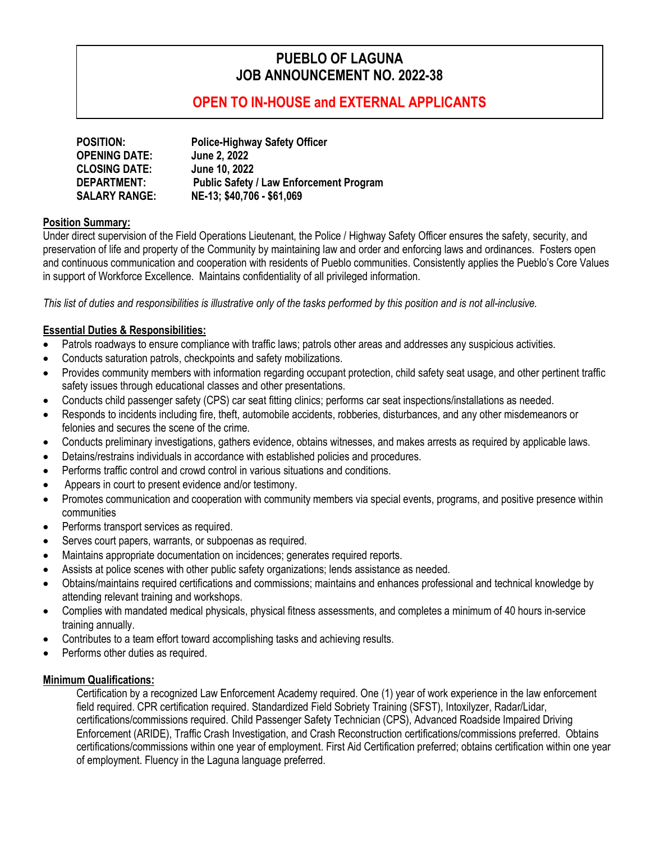# **PUEBLO OF LAGUNA JOB ANNOUNCEMENT NO. 2022-38**

## **OPEN TO IN-HOUSE and EXTERNAL APPLICANTS**

| <b>POSITION:</b>     | <b>Police-Highway Safety Officer</b>           |
|----------------------|------------------------------------------------|
| <b>OPENING DATE:</b> | June 2, 2022                                   |
| <b>CLOSING DATE:</b> | June 10, 2022                                  |
| <b>DEPARTMENT:</b>   | <b>Public Safety / Law Enforcement Program</b> |
| <b>SALARY RANGE:</b> | NE-13; \$40,706 - \$61,069                     |

#### **Position Summary:**

Under direct supervision of the Field Operations Lieutenant, the Police / Highway Safety Officer ensures the safety, security, and preservation of life and property of the Community by maintaining law and order and enforcing laws and ordinances. Fosters open and continuous communication and cooperation with residents of Pueblo communities. Consistently applies the Pueblo's Core Values in support of Workforce Excellence. Maintains confidentiality of all privileged information.

*This list of duties and responsibilities is illustrative only of the tasks performed by this position and is not all-inclusive.*

### **Essential Duties & Responsibilities:**

- Patrols roadways to ensure compliance with traffic laws; patrols other areas and addresses any suspicious activities.
- Conducts saturation patrols, checkpoints and safety mobilizations.
- Provides community members with information regarding occupant protection, child safety seat usage, and other pertinent traffic safety issues through educational classes and other presentations.
- Conducts child passenger safety (CPS) car seat fitting clinics; performs car seat inspections/installations as needed.
- Responds to incidents including fire, theft, automobile accidents, robberies, disturbances, and any other misdemeanors or felonies and secures the scene of the crime.
- Conducts preliminary investigations, gathers evidence, obtains witnesses, and makes arrests as required by applicable laws.
- Detains/restrains individuals in accordance with established policies and procedures.
- Performs traffic control and crowd control in various situations and conditions.
- Appears in court to present evidence and/or testimony.
- Promotes communication and cooperation with community members via special events, programs, and positive presence within communities
- Performs transport services as required.
- Serves court papers, warrants, or subpoenas as required.
- Maintains appropriate documentation on incidences; generates required reports.
- Assists at police scenes with other public safety organizations; lends assistance as needed.
- Obtains/maintains required certifications and commissions; maintains and enhances professional and technical knowledge by attending relevant training and workshops.
- Complies with mandated medical physicals, physical fitness assessments, and completes a minimum of 40 hours in-service training annually.
- Contributes to a team effort toward accomplishing tasks and achieving results.
- Performs other duties as required.

### **Minimum Qualifications:**

Certification by a recognized Law Enforcement Academy required. One (1) year of work experience in the law enforcement field required. CPR certification required. Standardized Field Sobriety Training (SFST), Intoxilyzer, Radar/Lidar, certifications/commissions required. Child Passenger Safety Technician (CPS), Advanced Roadside Impaired Driving Enforcement (ARIDE), Traffic Crash Investigation, and Crash Reconstruction certifications/commissions preferred. Obtains certifications/commissions within one year of employment. First Aid Certification preferred; obtains certification within one year of employment. Fluency in the Laguna language preferred.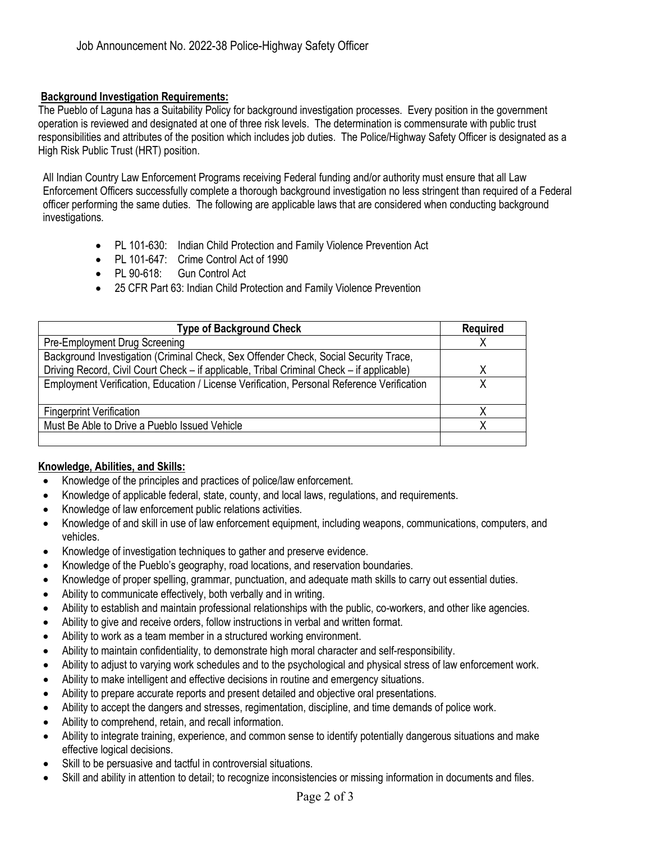#### **Background Investigation Requirements:**

The Pueblo of Laguna has a Suitability Policy for background investigation processes. Every position in the government operation is reviewed and designated at one of three risk levels. The determination is commensurate with public trust responsibilities and attributes of the position which includes job duties. The Police/Highway Safety Officer is designated as a High Risk Public Trust (HRT) position.

All Indian Country Law Enforcement Programs receiving Federal funding and/or authority must ensure that all Law Enforcement Officers successfully complete a thorough background investigation no less stringent than required of a Federal officer performing the same duties. The following are applicable laws that are considered when conducting background investigations.

- PL 101-630: Indian Child Protection and Family Violence Prevention Act
- PL 101-647: Crime Control Act of 1990
- PL 90-618: Gun Control Act
- 25 CFR Part 63: Indian Child Protection and Family Violence Prevention

| <b>Type of Background Check</b>                                                            | <b>Required</b> |
|--------------------------------------------------------------------------------------------|-----------------|
| Pre-Employment Drug Screening                                                              |                 |
| Background Investigation (Criminal Check, Sex Offender Check, Social Security Trace,       |                 |
| Driving Record, Civil Court Check – if applicable, Tribal Criminal Check – if applicable)  | Χ               |
| Employment Verification, Education / License Verification, Personal Reference Verification |                 |
|                                                                                            |                 |
| <b>Fingerprint Verification</b>                                                            |                 |
| Must Be Able to Drive a Pueblo Issued Vehicle                                              |                 |
|                                                                                            |                 |

#### **Knowledge, Abilities, and Skills:**

- Knowledge of the principles and practices of police/law enforcement.
- Knowledge of applicable federal, state, county, and local laws, regulations, and requirements.
- Knowledge of law enforcement public relations activities.
- Knowledge of and skill in use of law enforcement equipment, including weapons, communications, computers, and vehicles.
- Knowledge of investigation techniques to gather and preserve evidence.
- Knowledge of the Pueblo's geography, road locations, and reservation boundaries.
- Knowledge of proper spelling, grammar, punctuation, and adequate math skills to carry out essential duties.
- Ability to communicate effectively, both verbally and in writing.
- Ability to establish and maintain professional relationships with the public, co-workers, and other like agencies.
- Ability to give and receive orders, follow instructions in verbal and written format.
- Ability to work as a team member in a structured working environment.
- Ability to maintain confidentiality, to demonstrate high moral character and self-responsibility.
- Ability to adjust to varying work schedules and to the psychological and physical stress of law enforcement work.
- Ability to make intelligent and effective decisions in routine and emergency situations.
- Ability to prepare accurate reports and present detailed and objective oral presentations.
- Ability to accept the dangers and stresses, regimentation, discipline, and time demands of police work.
- Ability to comprehend, retain, and recall information.
- Ability to integrate training, experience, and common sense to identify potentially dangerous situations and make effective logical decisions.
- Skill to be persuasive and tactful in controversial situations.
- Skill and ability in attention to detail; to recognize inconsistencies or missing information in documents and files.